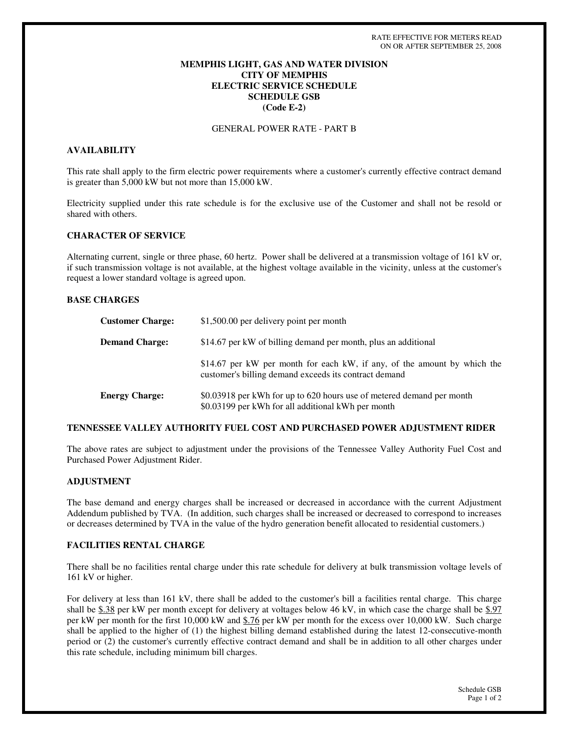## **MEMPHIS LIGHT, GAS AND WATER DIVISION CITY OF MEMPHIS ELECTRIC SERVICE SCHEDULE SCHEDULE GSB (Code E-2)**

GENERAL POWER RATE - PART B

# **AVAILABILITY**

This rate shall apply to the firm electric power requirements where a customer's currently effective contract demand is greater than 5,000 kW but not more than 15,000 kW.

Electricity supplied under this rate schedule is for the exclusive use of the Customer and shall not be resold or shared with others.

### **CHARACTER OF SERVICE**

Alternating current, single or three phase, 60 hertz. Power shall be delivered at a transmission voltage of 161 kV or, if such transmission voltage is not available, at the highest voltage available in the vicinity, unless at the customer's request a lower standard voltage is agreed upon.

### **BASE CHARGES**

| <b>Customer Charge:</b> | \$1,500.00 per delivery point per month                                                                                           |
|-------------------------|-----------------------------------------------------------------------------------------------------------------------------------|
| <b>Demand Charge:</b>   | \$14.67 per kW of billing demand per month, plus an additional                                                                    |
|                         | \$14.67 per kW per month for each kW, if any, of the amount by which the<br>customer's billing demand exceeds its contract demand |
| <b>Energy Charge:</b>   | \$0.03918 per kWh for up to 620 hours use of metered demand per month<br>\$0.03199 per kWh for all additional kWh per month       |

### **TENNESSEE VALLEY AUTHORITY FUEL COST AND PURCHASED POWER ADJUSTMENT RIDER**

The above rates are subject to adjustment under the provisions of the Tennessee Valley Authority Fuel Cost and Purchased Power Adjustment Rider.

## **ADJUSTMENT**

The base demand and energy charges shall be increased or decreased in accordance with the current Adjustment Addendum published by TVA. (In addition, such charges shall be increased or decreased to correspond to increases or decreases determined by TVA in the value of the hydro generation benefit allocated to residential customers.)

### **FACILITIES RENTAL CHARGE**

There shall be no facilities rental charge under this rate schedule for delivery at bulk transmission voltage levels of 161 kV or higher.

For delivery at less than 161 kV, there shall be added to the customer's bill a facilities rental charge. This charge shall be \$.38 per kW per month except for delivery at voltages below 46 kV, in which case the charge shall be \$.97 per kW per month for the first 10,000 kW and \$.76 per kW per month for the excess over 10,000 kW. Such charge shall be applied to the higher of (1) the highest billing demand established during the latest 12-consecutive-month period or (2) the customer's currently effective contract demand and shall be in addition to all other charges under this rate schedule, including minimum bill charges.